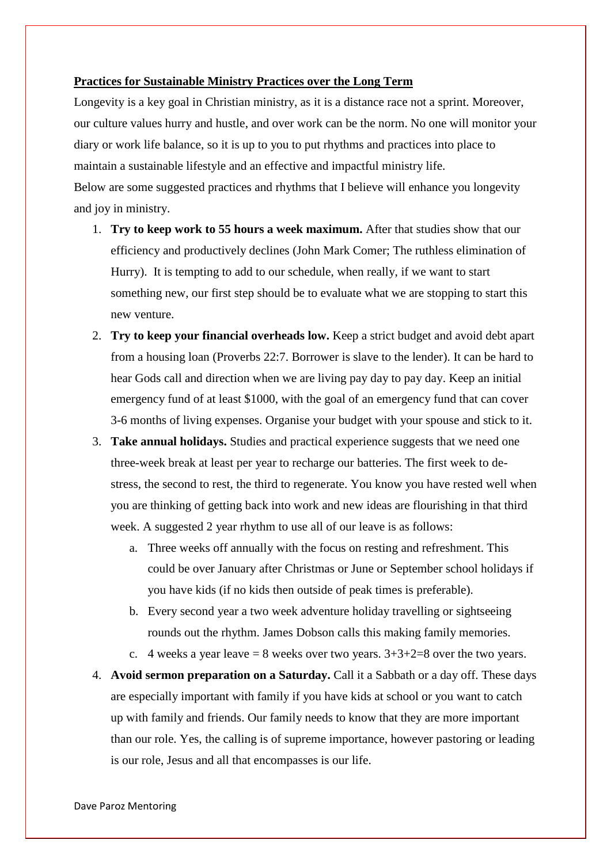## **Practices for Sustainable Ministry Practices over the Long Term**

Longevity is a key goal in Christian ministry, as it is a distance race not a sprint. Moreover, our culture values hurry and hustle, and over work can be the norm. No one will monitor your diary or work life balance, so it is up to you to put rhythms and practices into place to maintain a sustainable lifestyle and an effective and impactful ministry life. Below are some suggested practices and rhythms that I believe will enhance you longevity and joy in ministry.

- 1. **Try to keep work to 55 hours a week maximum.** After that studies show that our efficiency and productively declines (John Mark Comer; The ruthless elimination of Hurry). It is tempting to add to our schedule, when really, if we want to start something new, our first step should be to evaluate what we are stopping to start this new venture.
- 2. **Try to keep your financial overheads low.** Keep a strict budget and avoid debt apart from a housing loan (Proverbs 22:7. Borrower is slave to the lender). It can be hard to hear Gods call and direction when we are living pay day to pay day. Keep an initial emergency fund of at least \$1000, with the goal of an emergency fund that can cover 3-6 months of living expenses. Organise your budget with your spouse and stick to it.
- 3. **Take annual holidays.** Studies and practical experience suggests that we need one three-week break at least per year to recharge our batteries. The first week to destress, the second to rest, the third to regenerate. You know you have rested well when you are thinking of getting back into work and new ideas are flourishing in that third week. A suggested 2 year rhythm to use all of our leave is as follows:
	- a. Three weeks off annually with the focus on resting and refreshment. This could be over January after Christmas or June or September school holidays if you have kids (if no kids then outside of peak times is preferable).
	- b. Every second year a two week adventure holiday travelling or sightseeing rounds out the rhythm. James Dobson calls this making family memories.
	- c. 4 weeks a year leave  $= 8$  weeks over two years.  $3+3+2=8$  over the two years.
- 4. **Avoid sermon preparation on a Saturday.** Call it a Sabbath or a day off. These days are especially important with family if you have kids at school or you want to catch up with family and friends. Our family needs to know that they are more important than our role. Yes, the calling is of supreme importance, however pastoring or leading is our role, Jesus and all that encompasses is our life.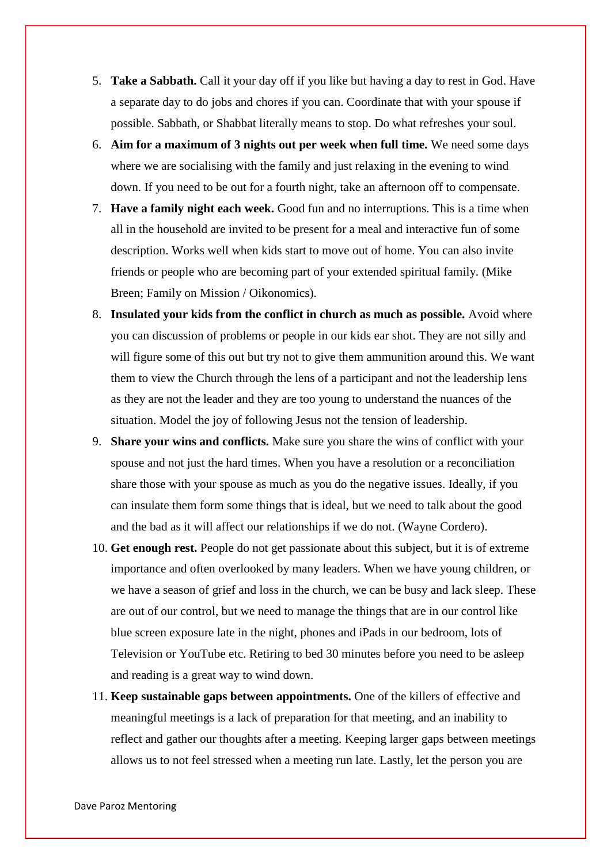- 5. **Take a Sabbath.** Call it your day off if you like but having a day to rest in God. Have a separate day to do jobs and chores if you can. Coordinate that with your spouse if possible. Sabbath, or Shabbat literally means to stop. Do what refreshes your soul.
- 6. **Aim for a maximum of 3 nights out per week when full time.** We need some days where we are socialising with the family and just relaxing in the evening to wind down. If you need to be out for a fourth night, take an afternoon off to compensate.
- 7. **Have a family night each week.** Good fun and no interruptions. This is a time when all in the household are invited to be present for a meal and interactive fun of some description. Works well when kids start to move out of home. You can also invite friends or people who are becoming part of your extended spiritual family. (Mike Breen; Family on Mission / Oikonomics).
- 8. **Insulated your kids from the conflict in church as much as possible.** Avoid where you can discussion of problems or people in our kids ear shot. They are not silly and will figure some of this out but try not to give them ammunition around this. We want them to view the Church through the lens of a participant and not the leadership lens as they are not the leader and they are too young to understand the nuances of the situation. Model the joy of following Jesus not the tension of leadership.
- 9. **Share your wins and conflicts.** Make sure you share the wins of conflict with your spouse and not just the hard times. When you have a resolution or a reconciliation share those with your spouse as much as you do the negative issues. Ideally, if you can insulate them form some things that is ideal, but we need to talk about the good and the bad as it will affect our relationships if we do not. (Wayne Cordero).
- 10. **Get enough rest.** People do not get passionate about this subject, but it is of extreme importance and often overlooked by many leaders. When we have young children, or we have a season of grief and loss in the church, we can be busy and lack sleep. These are out of our control, but we need to manage the things that are in our control like blue screen exposure late in the night, phones and iPads in our bedroom, lots of Television or YouTube etc. Retiring to bed 30 minutes before you need to be asleep and reading is a great way to wind down.
- 11. **Keep sustainable gaps between appointments.** One of the killers of effective and meaningful meetings is a lack of preparation for that meeting, and an inability to reflect and gather our thoughts after a meeting. Keeping larger gaps between meetings allows us to not feel stressed when a meeting run late. Lastly, let the person you are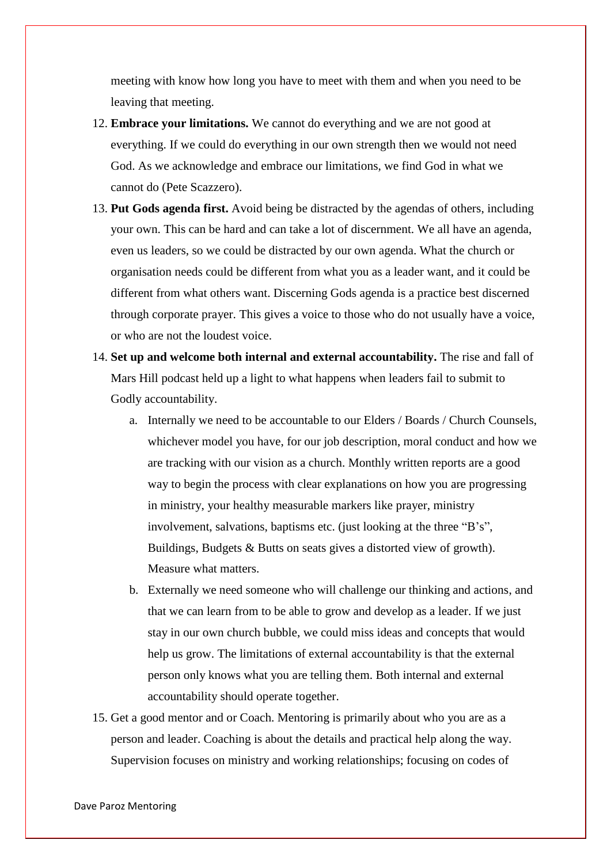meeting with know how long you have to meet with them and when you need to be leaving that meeting.

- 12. **Embrace your limitations.** We cannot do everything and we are not good at everything. If we could do everything in our own strength then we would not need God. As we acknowledge and embrace our limitations, we find God in what we cannot do (Pete Scazzero).
- 13. **Put Gods agenda first.** Avoid being be distracted by the agendas of others, including your own. This can be hard and can take a lot of discernment. We all have an agenda, even us leaders, so we could be distracted by our own agenda. What the church or organisation needs could be different from what you as a leader want, and it could be different from what others want. Discerning Gods agenda is a practice best discerned through corporate prayer. This gives a voice to those who do not usually have a voice, or who are not the loudest voice.
- 14. **Set up and welcome both internal and external accountability.** The rise and fall of Mars Hill podcast held up a light to what happens when leaders fail to submit to Godly accountability.
	- a. Internally we need to be accountable to our Elders / Boards / Church Counsels, whichever model you have, for our job description, moral conduct and how we are tracking with our vision as a church. Monthly written reports are a good way to begin the process with clear explanations on how you are progressing in ministry, your healthy measurable markers like prayer, ministry involvement, salvations, baptisms etc. (just looking at the three "B's", Buildings, Budgets & Butts on seats gives a distorted view of growth). Measure what matters.
	- b. Externally we need someone who will challenge our thinking and actions, and that we can learn from to be able to grow and develop as a leader. If we just stay in our own church bubble, we could miss ideas and concepts that would help us grow. The limitations of external accountability is that the external person only knows what you are telling them. Both internal and external accountability should operate together.
- 15. Get a good mentor and or Coach. Mentoring is primarily about who you are as a person and leader. Coaching is about the details and practical help along the way. Supervision focuses on ministry and working relationships; focusing on codes of